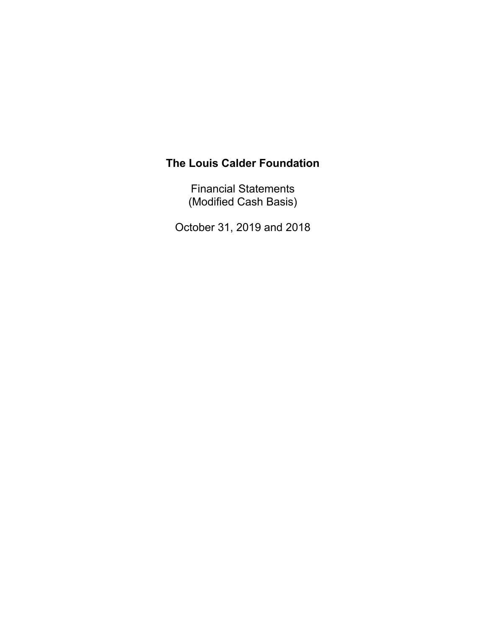Financial Statements (Modified Cash Basis)

October 31, 2019 and 2018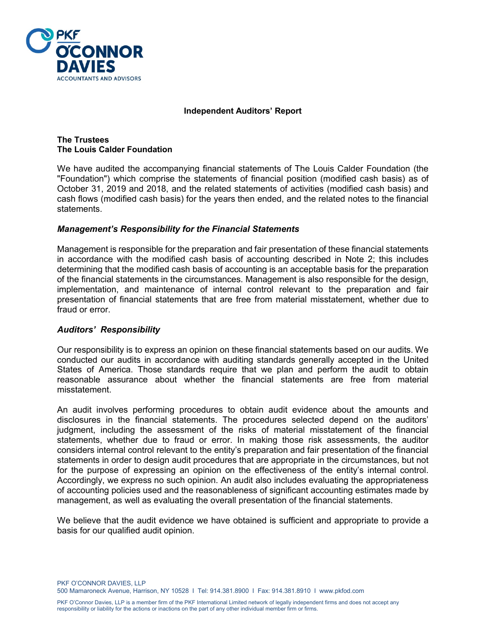

#### **Independent Auditors' Report**

#### **The Trustees The Louis Calder Foundation**

We have audited the accompanying financial statements of The Louis Calder Foundation (the "Foundation") which comprise the statements of financial position (modified cash basis) as of October 31, 2019 and 2018, and the related statements of activities (modified cash basis) and cash flows (modified cash basis) for the years then ended, and the related notes to the financial statements.

#### *Management's Responsibility for the Financial Statements*

Management is responsible for the preparation and fair presentation of these financial statements in accordance with the modified cash basis of accounting described in Note 2; this includes determining that the modified cash basis of accounting is an acceptable basis for the preparation of the financial statements in the circumstances. Management is also responsible for the design, implementation, and maintenance of internal control relevant to the preparation and fair presentation of financial statements that are free from material misstatement, whether due to fraud or error.

# *Auditors' Responsibility*

Our responsibility is to express an opinion on these financial statements based on our audits. We conducted our audits in accordance with auditing standards generally accepted in the United States of America. Those standards require that we plan and perform the audit to obtain reasonable assurance about whether the financial statements are free from material misstatement.

An audit involves performing procedures to obtain audit evidence about the amounts and disclosures in the financial statements. The procedures selected depend on the auditors' judgment, including the assessment of the risks of material misstatement of the financial statements, whether due to fraud or error. In making those risk assessments, the auditor considers internal control relevant to the entity's preparation and fair presentation of the financial statements in order to design audit procedures that are appropriate in the circumstances, but not for the purpose of expressing an opinion on the effectiveness of the entity's internal control. Accordingly, we express no such opinion. An audit also includes evaluating the appropriateness of accounting policies used and the reasonableness of significant accounting estimates made by management, as well as evaluating the overall presentation of the financial statements.

We believe that the audit evidence we have obtained is sufficient and appropriate to provide a basis for our qualified audit opinion.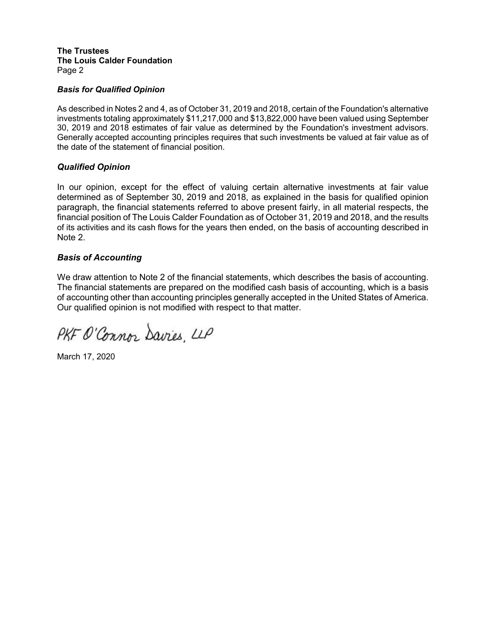#### **The Trustees The Louis Calder Foundation** Page 2

#### *Basis for Qualified Opinion*

As described in Notes 2 and 4, as of October 31, 2019 and 2018, certain of the Foundation's alternative investments totaling approximately \$11,217,000 and \$13,822,000 have been valued using September 30, 2019 and 2018 estimates of fair value as determined by the Foundation's investment advisors. Generally accepted accounting principles requires that such investments be valued at fair value as of the date of the statement of financial position.

#### *Qualified Opinion*

In our opinion, except for the effect of valuing certain alternative investments at fair value determined as of September 30, 2019 and 2018, as explained in the basis for qualified opinion paragraph, the financial statements referred to above present fairly, in all material respects, the financial position of The Louis Calder Foundation as of October 31, 2019 and 2018, and the results of its activities and its cash flows for the years then ended, on the basis of accounting described in Note 2.

# *Basis of Accounting*

We draw attention to Note 2 of the financial statements, which describes the basis of accounting. The financial statements are prepared on the modified cash basis of accounting, which is a basis of accounting other than accounting principles generally accepted in the United States of America. Our qualified opinion is not modified with respect to that matter.

PKF O'Connor Davies, LLP

March 17, 2020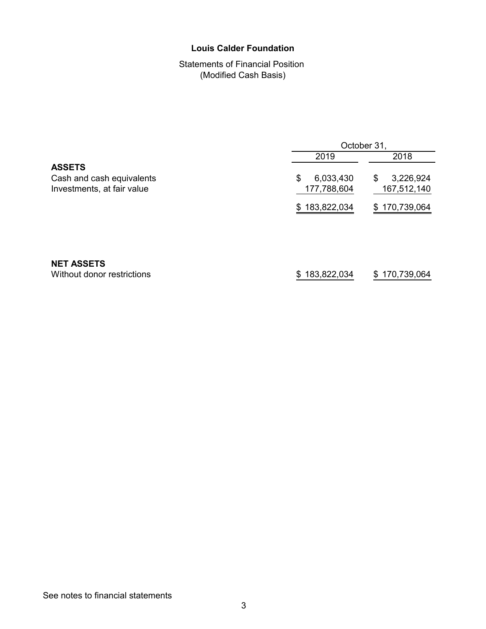Statements of Financial Position (Modified Cash Basis)

|                                                         | October 31,                    |                                |  |  |  |  |  |
|---------------------------------------------------------|--------------------------------|--------------------------------|--|--|--|--|--|
|                                                         | 2019                           | 2018                           |  |  |  |  |  |
| <b>ASSETS</b>                                           |                                |                                |  |  |  |  |  |
| Cash and cash equivalents<br>Investments, at fair value | \$<br>6,033,430<br>177,788,604 | 3,226,924<br>\$<br>167,512,140 |  |  |  |  |  |
|                                                         | 183,822,034<br>\$              | 170,739,064<br>SS.             |  |  |  |  |  |
|                                                         |                                |                                |  |  |  |  |  |
| <b>NET ASSETS</b><br>Without donor restrictions         | \$183,822,034                  | 170,739,064<br>SS.             |  |  |  |  |  |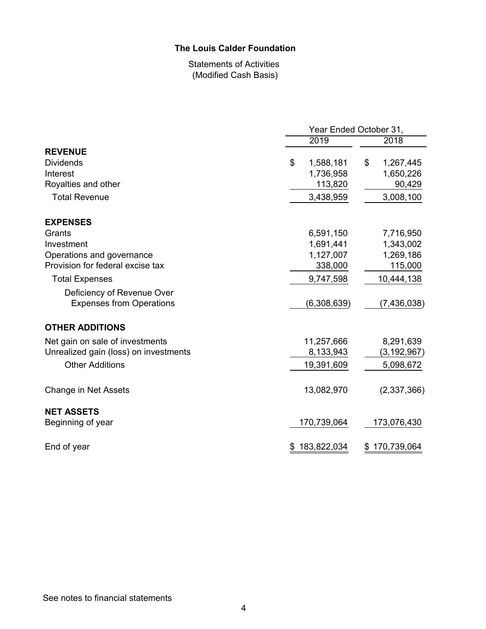# Statements of Activities (Modified Cash Basis)

|                                                               | Year Ended October 31, |             |    |               |  |
|---------------------------------------------------------------|------------------------|-------------|----|---------------|--|
|                                                               |                        | 2019        |    | 2018          |  |
| <b>REVENUE</b>                                                |                        |             |    |               |  |
| <b>Dividends</b>                                              | \$                     | 1,588,181   | \$ | 1,267,445     |  |
| Interest                                                      |                        | 1,736,958   |    | 1,650,226     |  |
| Royalties and other                                           |                        | 113,820     |    | 90,429        |  |
| <b>Total Revenue</b>                                          |                        | 3,438,959   |    | 3,008,100     |  |
| <b>EXPENSES</b>                                               |                        |             |    |               |  |
| Grants                                                        |                        | 6,591,150   |    | 7,716,950     |  |
| Investment                                                    |                        | 1,691,441   |    | 1,343,002     |  |
| Operations and governance                                     |                        | 1,127,007   |    | 1,269,186     |  |
| Provision for federal excise tax                              |                        | 338,000     |    | 115,000       |  |
| <b>Total Expenses</b>                                         |                        | 9,747,598   |    | 10,444,138    |  |
| Deficiency of Revenue Over<br><b>Expenses from Operations</b> |                        | (6,308,639) |    | (7,436,038)   |  |
| <b>OTHER ADDITIONS</b>                                        |                        |             |    |               |  |
| Net gain on sale of investments                               |                        | 11,257,666  |    | 8,291,639     |  |
| Unrealized gain (loss) on investments                         |                        | 8,133,943   |    | (3, 192, 967) |  |
| <b>Other Additions</b>                                        |                        | 19,391,609  |    | 5,098,672     |  |
| Change in Net Assets                                          |                        | 13,082,970  |    | (2,337,366)   |  |
| <b>NET ASSETS</b>                                             |                        |             |    |               |  |
| Beginning of year                                             |                        | 170,739,064 |    | 173,076,430   |  |
| End of year                                                   |                        | 183,822,034 |    | \$170,739,064 |  |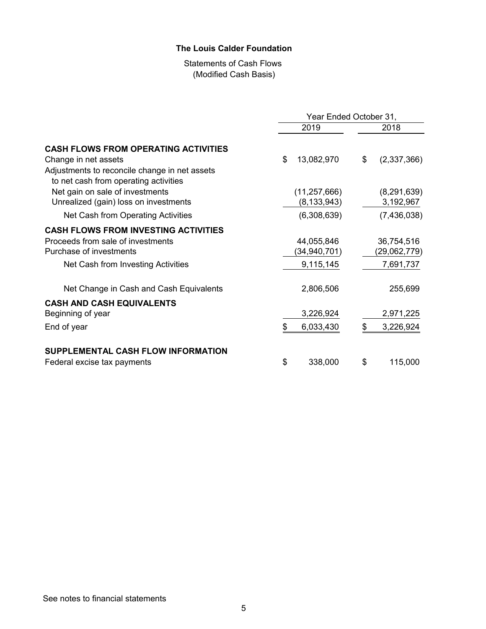# Statements of Cash Flows (Modified Cash Basis)

|                                                                                        | Year Ended October 31,          |                            |  |  |  |  |
|----------------------------------------------------------------------------------------|---------------------------------|----------------------------|--|--|--|--|
|                                                                                        | 2019                            | 2018                       |  |  |  |  |
| <b>CASH FLOWS FROM OPERATING ACTIVITIES</b><br>Change in net assets                    | \$<br>13,082,970                | \$<br>(2,337,366)          |  |  |  |  |
| Adjustments to reconcile change in net assets<br>to net cash from operating activities |                                 |                            |  |  |  |  |
| Net gain on sale of investments<br>Unrealized (gain) loss on investments               | (11, 257, 666)<br>(8, 133, 943) | (8,291,639)<br>3,192,967   |  |  |  |  |
| Net Cash from Operating Activities                                                     | (6,308,639)                     | (7,436,038)                |  |  |  |  |
| <b>CASH FLOWS FROM INVESTING ACTIVITIES</b>                                            |                                 |                            |  |  |  |  |
| Proceeds from sale of investments<br>Purchase of investments                           | 44,055,846<br>(34,940,701)      | 36,754,516<br>(29,062,779) |  |  |  |  |
| Net Cash from Investing Activities                                                     | 9,115,145                       | 7,691,737                  |  |  |  |  |
| Net Change in Cash and Cash Equivalents                                                | 2,806,506                       | 255,699                    |  |  |  |  |
| <b>CASH AND CASH EQUIVALENTS</b><br>Beginning of year                                  | 3,226,924                       | 2,971,225                  |  |  |  |  |
| End of year                                                                            | 6,033,430<br>\$                 | 3,226,924<br>\$            |  |  |  |  |
| SUPPLEMENTAL CASH FLOW INFORMATION                                                     |                                 |                            |  |  |  |  |
| Federal excise tax payments                                                            | \$<br>338,000                   | \$<br>115,000              |  |  |  |  |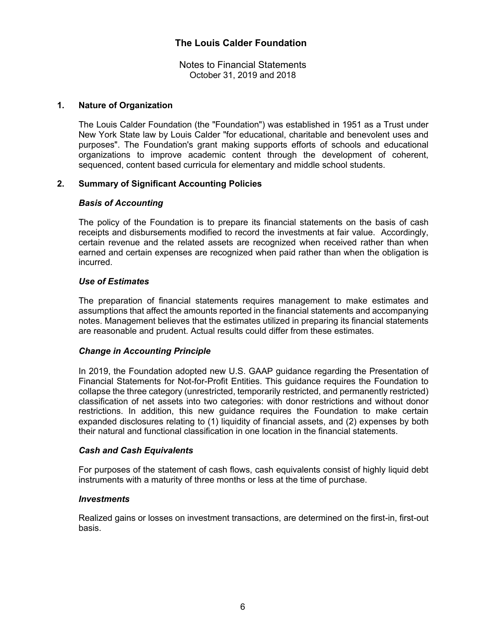Notes to Financial Statements October 31, 2019 and 2018

#### **1. Nature of Organization**

The Louis Calder Foundation (the "Foundation") was established in 1951 as a Trust under New York State law by Louis Calder "for educational, charitable and benevolent uses and purposes". The Foundation's grant making supports efforts of schools and educational organizations to improve academic content through the development of coherent, sequenced, content based curricula for elementary and middle school students.

# **2. Summary of Significant Accounting Policies**

#### *Basis of Accounting*

The policy of the Foundation is to prepare its financial statements on the basis of cash receipts and disbursements modified to record the investments at fair value. Accordingly, certain revenue and the related assets are recognized when received rather than when earned and certain expenses are recognized when paid rather than when the obligation is incurred.

#### *Use of Estimates*

The preparation of financial statements requires management to make estimates and assumptions that affect the amounts reported in the financial statements and accompanying notes. Management believes that the estimates utilized in preparing its financial statements are reasonable and prudent. Actual results could differ from these estimates.

# *Change in Accounting Principle*

In 2019, the Foundation adopted new U.S. GAAP guidance regarding the Presentation of Financial Statements for Not-for-Profit Entities. This guidance requires the Foundation to collapse the three category (unrestricted, temporarily restricted, and permanently restricted) classification of net assets into two categories: with donor restrictions and without donor restrictions. In addition, this new guidance requires the Foundation to make certain expanded disclosures relating to (1) liquidity of financial assets, and (2) expenses by both their natural and functional classification in one location in the financial statements.

#### *Cash and Cash Equivalents*

For purposes of the statement of cash flows, cash equivalents consist of highly liquid debt instruments with a maturity of three months or less at the time of purchase.

#### *Investments*

Realized gains or losses on investment transactions, are determined on the first-in, first-out basis.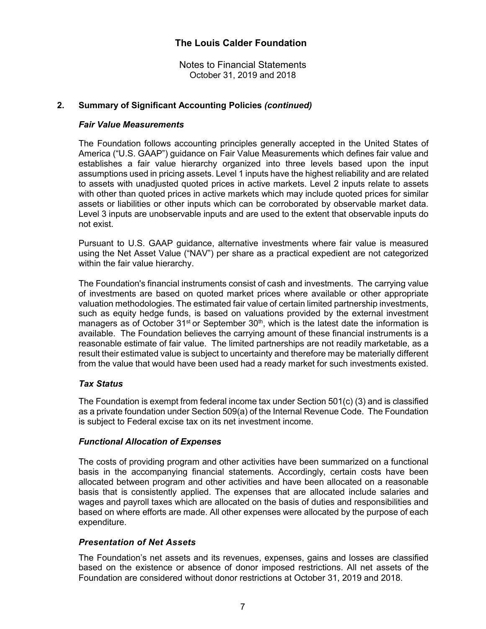Notes to Financial Statements October 31, 2019 and 2018

# **2. Summary of Significant Accounting Policies** *(continued)*

#### *Fair Value Measurements*

The Foundation follows accounting principles generally accepted in the United States of America ("U.S. GAAP") guidance on Fair Value Measurements which defines fair value and establishes a fair value hierarchy organized into three levels based upon the input assumptions used in pricing assets. Level 1 inputs have the highest reliability and are related to assets with unadjusted quoted prices in active markets. Level 2 inputs relate to assets with other than quoted prices in active markets which may include quoted prices for similar assets or liabilities or other inputs which can be corroborated by observable market data. Level 3 inputs are unobservable inputs and are used to the extent that observable inputs do not exist.

Pursuant to U.S. GAAP guidance, alternative investments where fair value is measured using the Net Asset Value ("NAV") per share as a practical expedient are not categorized within the fair value hierarchy.

The Foundation's financial instruments consist of cash and investments. The carrying value of investments are based on quoted market prices where available or other appropriate valuation methodologies. The estimated fair value of certain limited partnership investments, such as equity hedge funds, is based on valuations provided by the external investment managers as of October 31<sup>st</sup> or September 30<sup>th</sup>, which is the latest date the information is available. The Foundation believes the carrying amount of these financial instruments is a reasonable estimate of fair value. The limited partnerships are not readily marketable, as a result their estimated value is subject to uncertainty and therefore may be materially different from the value that would have been used had a ready market for such investments existed.

# *Tax Status*

The Foundation is exempt from federal income tax under Section 501(c) (3) and is classified as a private foundation under Section 509(a) of the Internal Revenue Code. The Foundation is subject to Federal excise tax on its net investment income.

# *Functional Allocation of Expenses*

The costs of providing program and other activities have been summarized on a functional basis in the accompanying financial statements. Accordingly, certain costs have been allocated between program and other activities and have been allocated on a reasonable basis that is consistently applied. The expenses that are allocated include salaries and wages and payroll taxes which are allocated on the basis of duties and responsibilities and based on where efforts are made. All other expenses were allocated by the purpose of each expenditure.

# *Presentation of Net Assets*

The Foundation's net assets and its revenues, expenses, gains and losses are classified based on the existence or absence of donor imposed restrictions. All net assets of the Foundation are considered without donor restrictions at October 31, 2019 and 2018.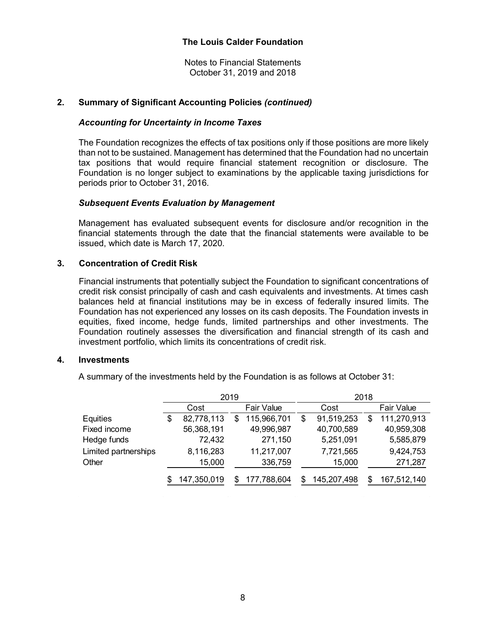# **2. Summary of Significant Accounting Policies** *(continued)*

# *Accounting for Uncertainty in Income Taxes*

The Foundation recognizes the effects of tax positions only if those positions are more likely than not to be sustained. Management has determined that the Foundation had no uncertain tax positions that would require financial statement recognition or disclosure. The Foundation is no longer subject to examinations by the applicable taxing jurisdictions for periods prior to October 31, 2016.

# *Subsequent Events Evaluation by Management*

Management has evaluated subsequent events for disclosure and/or recognition in the financial statements through the date that the financial statements were available to be issued, which date is March 17, 2020.

# **3. Concentration of Credit Risk**

Financial instruments that potentially subject the Foundation to significant concentrations of credit risk consist principally of cash and cash equivalents and investments. At times cash balances held at financial institutions may be in excess of federally insured limits. The Foundation has not experienced any losses on its cash deposits. The Foundation invests in equities, fixed income, hedge funds, limited partnerships and other investments. The Foundation routinely assesses the diversification and financial strength of its cash and investment portfolio, which limits its concentrations of credit risk.

# **4. Investments**

A summary of the investments held by the Foundation is as follows at October 31:

|                      | 2019 |             |   |                   |    | 2018        |   |             |  |                   |
|----------------------|------|-------------|---|-------------------|----|-------------|---|-------------|--|-------------------|
|                      |      | Cost        |   | <b>Fair Value</b> |    |             |   | Cost        |  | <b>Fair Value</b> |
| Equities             | \$   | 82,778,113  | S | 115,966,701       | \$ | 91,519,253  | S | 111,270,913 |  |                   |
| Fixed income         |      | 56,368,191  |   | 49,996,987        |    | 40,700,589  |   | 40,959,308  |  |                   |
| Hedge funds          |      | 72,432      |   | 271,150           |    | 5,251,091   |   | 5,585,879   |  |                   |
| Limited partnerships |      | 8,116,283   |   | 11,217,007        |    | 7,721,565   |   | 9,424,753   |  |                   |
| Other                |      | 15,000      |   | 336,759           |    | 15,000      |   | 271,287     |  |                   |
|                      |      | 147,350,019 |   | 177,788,604       | S  | 145,207,498 | S | 167,512,140 |  |                   |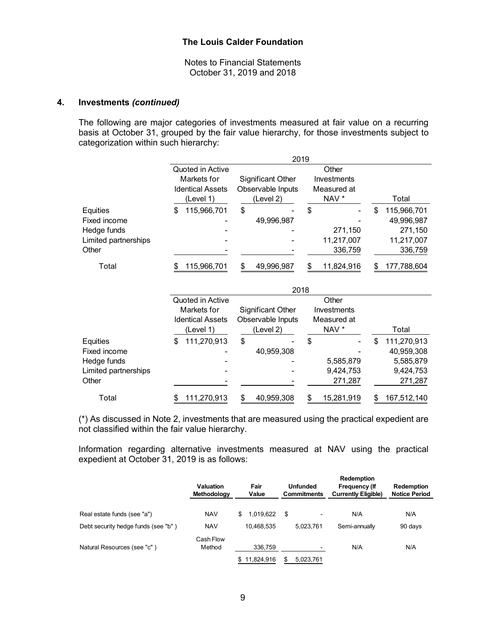#### **4. Investments** *(continued)*

The following are major categories of investments measured at fair value on a recurring basis at October 31, grouped by the fair value hierarchy, for those investments subject to categorization within such hierarchy:

|                      | 2019                    |    |                                         |    |                  |    |             |
|----------------------|-------------------------|----|-----------------------------------------|----|------------------|----|-------------|
|                      | Quoted in Active        |    |                                         |    | Other            |    |             |
|                      | Markets for             |    | <b>Significant Other</b><br>Investments |    |                  |    |             |
|                      | <b>Identical Assets</b> |    | Observable Inputs                       |    | Measured at      |    |             |
|                      | (Level 1)               |    | (Level 2)                               |    | NAV <sup>*</sup> |    | Total       |
| Equities             | \$<br>115,966,701       | \$ |                                         | \$ |                  | \$ | 115,966,701 |
| Fixed income         |                         |    | 49,996,987                              |    |                  |    | 49,996,987  |
| Hedge funds          |                         |    |                                         |    | 271,150          |    | 271,150     |
| Limited partnerships | -                       |    |                                         |    | 11,217,007       |    | 11,217,007  |
| Other                |                         |    |                                         |    | 336,759          |    | 336,759     |
| Total                | 115,966,701             | \$ | 49,996,987                              |    | 11,824,916       |    | 177,788,604 |

|                      | 2018                    |                          |                  |                   |  |  |  |
|----------------------|-------------------------|--------------------------|------------------|-------------------|--|--|--|
|                      | Quoted in Active        |                          | Other            |                   |  |  |  |
|                      | Markets for             | <b>Significant Other</b> | Investments      |                   |  |  |  |
|                      | <b>Identical Assets</b> | Observable Inputs        | Measured at      |                   |  |  |  |
|                      | (Level 1)               | (Level 2)                | NAV <sup>*</sup> | Total             |  |  |  |
| Equities             | 111,270,913<br>\$       | \$                       | \$               | 111,270,913<br>\$ |  |  |  |
| Fixed income         |                         | 40,959,308               |                  | 40,959,308        |  |  |  |
| Hedge funds          |                         |                          | 5,585,879        | 5,585,879         |  |  |  |
| Limited partnerships |                         |                          | 9,424,753        | 9,424,753         |  |  |  |
| Other                |                         |                          | 271,287          | 271,287           |  |  |  |
| Total                | 111,270,913<br>\$       | 40,959,308<br>\$         | 15,281,919<br>\$ | 167,512,140<br>S  |  |  |  |

(\*) As discussed in Note 2, investments that are measured using the practical expedient are not classified within the fair value hierarchy.

Information regarding alternative investments measured at NAV using the practical expedient at October 31, 2019 is as follows:

|                                     | <b>Valuation</b><br>Methodology |     | Fair<br>Value |     | <b>Unfunded</b><br><b>Commitments</b> | <b>Redemption</b><br>Frequency (If<br><b>Currently Eligible)</b> | <b>Redemption</b><br><b>Notice Period</b> |
|-------------------------------------|---------------------------------|-----|---------------|-----|---------------------------------------|------------------------------------------------------------------|-------------------------------------------|
|                                     |                                 |     |               |     |                                       |                                                                  |                                           |
| Real estate funds (see "a")         | <b>NAV</b>                      | \$. | 1.019.622     | -\$ |                                       | N/A                                                              | N/A                                       |
| Debt security hedge funds (see "b") | <b>NAV</b>                      |     | 10.468.535    |     | 5.023.761                             | Semi-annually                                                    | 90 days                                   |
| Natural Resources (see "c")         | Cash Flow<br>Method             |     | 336,759       |     |                                       | N/A                                                              | N/A                                       |
|                                     |                                 | \$. | 11.824.916    |     | 5.023.761                             |                                                                  |                                           |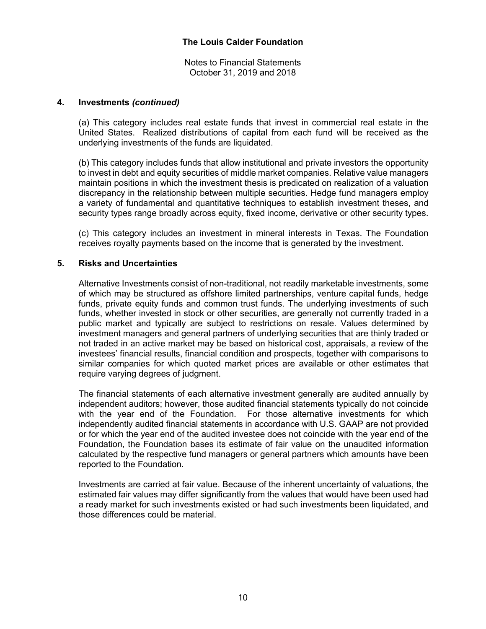#### **4. Investments** *(continued)*

(a) This category includes real estate funds that invest in commercial real estate in the United States. Realized distributions of capital from each fund will be received as the underlying investments of the funds are liquidated.

(b) This category includes funds that allow institutional and private investors the opportunity to invest in debt and equity securities of middle market companies. Relative value managers maintain positions in which the investment thesis is predicated on realization of a valuation discrepancy in the relationship between multiple securities. Hedge fund managers employ a variety of fundamental and quantitative techniques to establish investment theses, and security types range broadly across equity, fixed income, derivative or other security types.

(c) This category includes an investment in mineral interests in Texas. The Foundation receives royalty payments based on the income that is generated by the investment.

#### **5. Risks and Uncertainties**

Alternative Investments consist of non-traditional, not readily marketable investments, some of which may be structured as offshore limited partnerships, venture capital funds, hedge funds, private equity funds and common trust funds. The underlying investments of such funds, whether invested in stock or other securities, are generally not currently traded in a public market and typically are subject to restrictions on resale. Values determined by investment managers and general partners of underlying securities that are thinly traded or not traded in an active market may be based on historical cost, appraisals, a review of the investees' financial results, financial condition and prospects, together with comparisons to similar companies for which quoted market prices are available or other estimates that require varying degrees of judgment.

The financial statements of each alternative investment generally are audited annually by independent auditors; however, those audited financial statements typically do not coincide with the year end of the Foundation. For those alternative investments for which independently audited financial statements in accordance with U.S. GAAP are not provided or for which the year end of the audited investee does not coincide with the year end of the Foundation, the Foundation bases its estimate of fair value on the unaudited information calculated by the respective fund managers or general partners which amounts have been reported to the Foundation.

Investments are carried at fair value. Because of the inherent uncertainty of valuations, the estimated fair values may differ significantly from the values that would have been used had a ready market for such investments existed or had such investments been liquidated, and those differences could be material.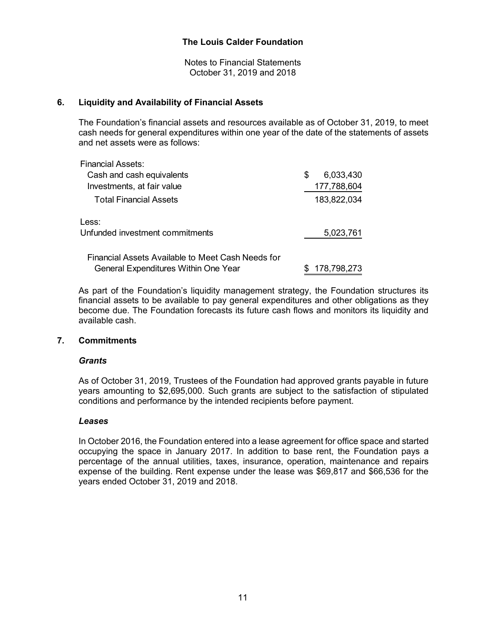# **6. Liquidity and Availability of Financial Assets**

The Foundation's financial assets and resources available as of October 31, 2019, to meet cash needs for general expenditures within one year of the date of the statements of assets and net assets were as follows:

| Financial Assets:                                 |                   |
|---------------------------------------------------|-------------------|
| Cash and cash equivalents                         | 6,033,430<br>S    |
| Investments, at fair value                        | 177,788,604       |
| <b>Total Financial Assets</b>                     | 183,822,034       |
| Less:                                             |                   |
| Unfunded investment commitments                   | 5,023,761         |
| Financial Assets Available to Meet Cash Needs for |                   |
| General Expenditures Within One Year              | 178,798,273<br>S. |

As part of the Foundation's liquidity management strategy, the Foundation structures its financial assets to be available to pay general expenditures and other obligations as they become due. The Foundation forecasts its future cash flows and monitors its liquidity and available cash.

# **7. Commitments**

# *Grants*

As of October 31, 2019, Trustees of the Foundation had approved grants payable in future years amounting to \$2,695,000. Such grants are subject to the satisfaction of stipulated conditions and performance by the intended recipients before payment.

# *Leases*

In October 2016, the Foundation entered into a lease agreement for office space and started occupying the space in January 2017. In addition to base rent, the Foundation pays a percentage of the annual utilities, taxes, insurance, operation, maintenance and repairs expense of the building. Rent expense under the lease was \$69,817 and \$66,536 for the years ended October 31, 2019 and 2018.